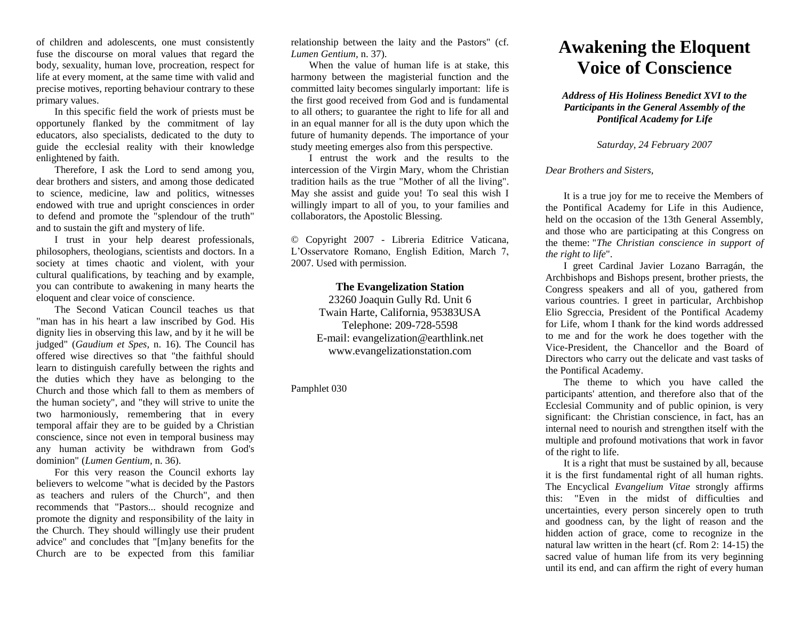of children and adolescents, one must consistently fuse the discourse on moral values that regard the body, sexuality, human love, procreation, respect for life at every moment, at the same time with valid and precise motives, reporting behaviour contrary to these primary values.

In this specific field the work of priests must be opportunely flanked by the commitment of lay educators, also specialists, dedicated to the duty to guide the ecclesial reality with their knowledge enlightened by faith.

Therefore, I ask the Lord to send among you, dear brothers and sisters, and among those dedicated to science, medicine, law and politics, witnesses endowed with true and upright consciences in order to defend and promote the "splendour of the truth" and to sustain the gift and mystery of life.

I trust in your help dearest professionals, philosophers, theologians, scientists and doctors. In a society at times chaotic and violent, with your cultural qualifications, by teaching and by example, you can contribute to awakening in many hearts the eloquent and clear voice of conscience.

The Second Vatican Council teaches us that "man has in his heart a law inscribed by God. His dignity lies in observing this law, and by it he will be judged" (*Gaudium et Spes,* n. 16). The Council has offered wise directives so that "the faithful should learn to distinguish carefully between the rights and the duties which they have as belonging to the Church and those which fall to them as members of the human society", and "they will strive to unite the two harmoniously, remembering that in every temporal affair they are to be guided by a Christian conscience, since not even in temporal business may any human activity be withdrawn from God's dominion" (*Lumen Gentium,* n. 36).

For this very reason the Council exhorts lay believers to welcome "what is decided by the Pastors as teachers and rulers of the Church", and then recommends that "Pastors... should recognize and promote the dignity and responsibility of the laity in the Church. They should willingly use their prudent advice" and concludes that "[m]any benefits for the Church are to be expected from this familiar

relationship between the laity and the Pastors" (cf. *Lumen Gentium,* n. 37).

When the value of human life is at stake, this harmony between the magisterial function and the committed laity becomes singularly important: life is the first good received from God and is fundamental to all others; to guarantee the right to life for all and in an equal manner for all is the duty upon which the future of humanity depends. The importance of your study meeting emerges also from this perspective.

I entrust the work and the results to the intercession of the Virgin Mary, whom the Christian tradition hails as the true "Mother of all the living". May she assist and guide you! To seal this wish I willingly impart to all of you, to your families and collaborators, the Apostolic Blessing.

© Copyright 2007 - Libreria Editrice Vaticana, L'Osservatore Romano, English Edition, March 7, 2007. Used with permission.

## **The Evangelization Station**

23260 Joaquin Gully Rd. Unit 6 Twain Harte, California, 95383USA Telephone: 209-728-5598 E-mail: [evangelization@earthlink.net](mailto:evangelization@earthlink.net) [www.evangelizationstation.com](http://www.pjpiisoe.org/)

Pamphlet 030

## **Awakening the Eloquent Voice of Conscience**

## *Address of His Holiness Benedict XVI to the Participants in the General Assembly of the Pontifical Academy for Life*

*Saturday, 24 February 2007* 

*Dear Brothers and Sisters,* 

It is a true joy for me to receive the Members of the Pontifical Academy for Life in this Audience, held on the occasion of the 13th General Assembly, and those who are participating at this Congress on the theme: "*The Christian conscience in support of the right to life*".

I greet Cardinal Javier Lozano Barragán, the Archbishops and Bishops present, brother priests, the Congress speakers and all of you, gathered from various countries. I greet in particular, Archbishop Elio Sgreccia, President of the Pontifical Academy for Life, whom I thank for the kind words addressed to me and for the work he does together with the Vice-President, the Chancellor and the Board of Directors who carry out the delicate and vast tasks of the Pontifical Academy.

The theme to which you have called the participants' attention, and therefore also that of the Ecclesial Community and of public opinion, is very significant: the Christian conscience, in fact, has an internal need to nourish and strengthen itself with the multiple and profound motivations that work in favor of the right to life.

It is a right that must be sustained by all, because it is the first fundamental right of all human rights. The Encyclical *Evangelium Vitae* strongly affirms this: "Even in the midst of difficulties and uncertainties, every person sincerely open to truth and goodness can, by the light of reason and the hidden action of grace, come to recognize in the natural law written in the heart (cf. Rom 2: 14-15) the sacred value of human life from its very beginning until its end, and can affirm the right of every human